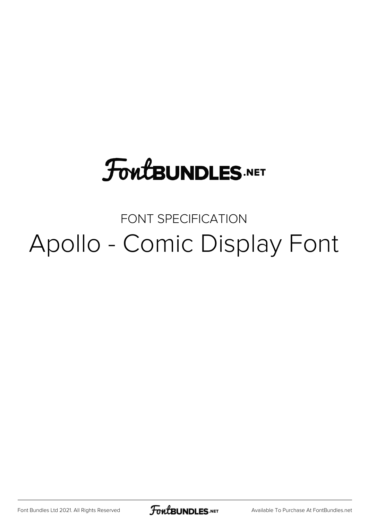## **FoutBUNDLES.NET**

### FONT SPECIFICATION Apollo - Comic Display Font

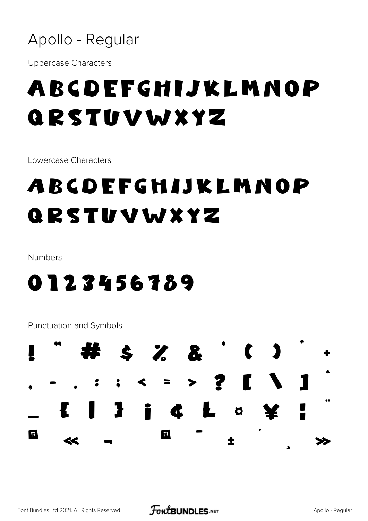

**Uppercase Characters** 

## ABCDEFGHIJKLMNOP QRSTUVWXYZ

Lowercase Characters

## ABCDEFGHIJKLMNOP QRSTUVWXYZ

Numbers

#### 0123456789

**Punctuation and Symbols** 

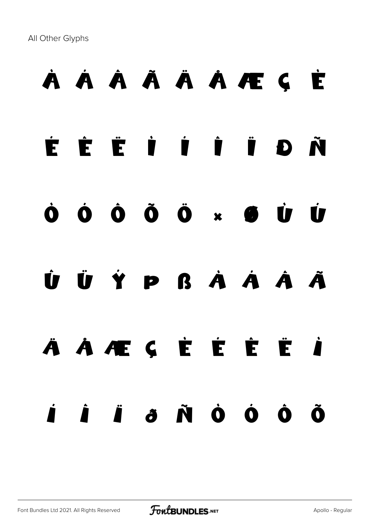All Other Glyphs

# À Á Â Ã Ä Å Æ Ç È É Ê Ë Ì Í Î Ï Ð Ñ Ò Ó Ô Õ Ö × Ø Ù Ú Û Ü Ý Þ ß à á â ã ä å æ ç è é ê ë ì í î ï ð ñ ò ó ô õ